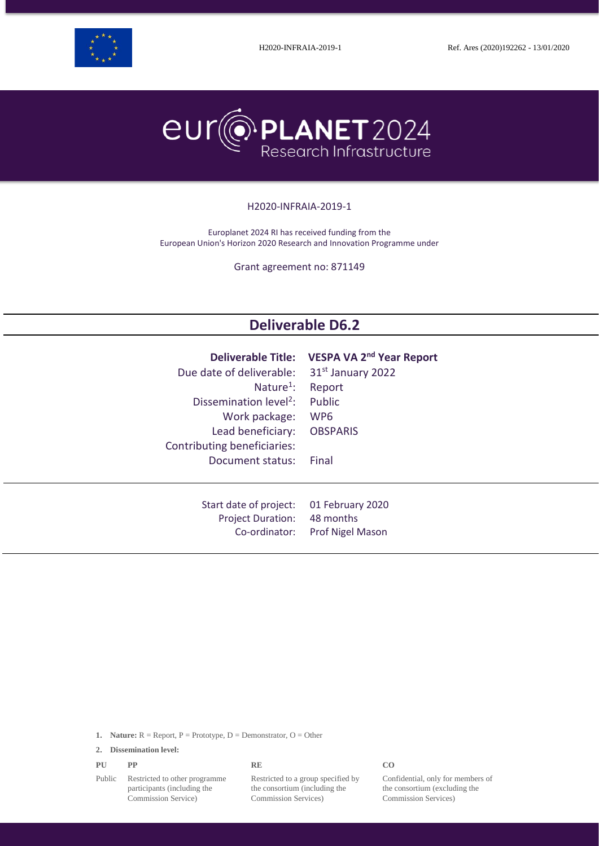



#### H2020-INFRAIA-2019-1

Europlanet 2024 RI has received funding from the European Union's Horizon 2020 Research and Innovation Programme under

Grant agreement no: 871149

# **Deliverable D6.2**

| Due date of deliverable:           | Deliverable Title: VESPA VA 2 <sup>nd</sup> Year Report |
|------------------------------------|---------------------------------------------------------|
| Nature <sup>1</sup> :              | 31 <sup>st</sup> January 2022                           |
| Dissemination level <sup>2</sup> : | Report                                                  |
| Work package:                      | Public                                                  |
| Lead beneficiary:                  | WP <sub>6</sub>                                         |
| Contributing beneficiaries:        | <b>OBSPARIS</b>                                         |
| Document status:                   | Final                                                   |
| Start date of project:             | 01 February 2020                                        |
| <b>Project Duration:</b>           | 48 months                                               |
| Co-ordinator:                      | <b>Prof Nigel Mason</b>                                 |

**1. Nature:**  $R =$  Report,  $P =$  Prototype,  $D =$  Demonstrator,  $O =$  Other

**2. Dissemination level:**

| PU | PP | <b>RE</b> | CO |
|----|----|-----------|----|
|    |    |           |    |

Public Restricted to other programme participants (including the Commission Service)

Restricted to a group specified by the consortium (including the Commission Services)

Confidential, only for members of the consortium (excluding the Commission Services)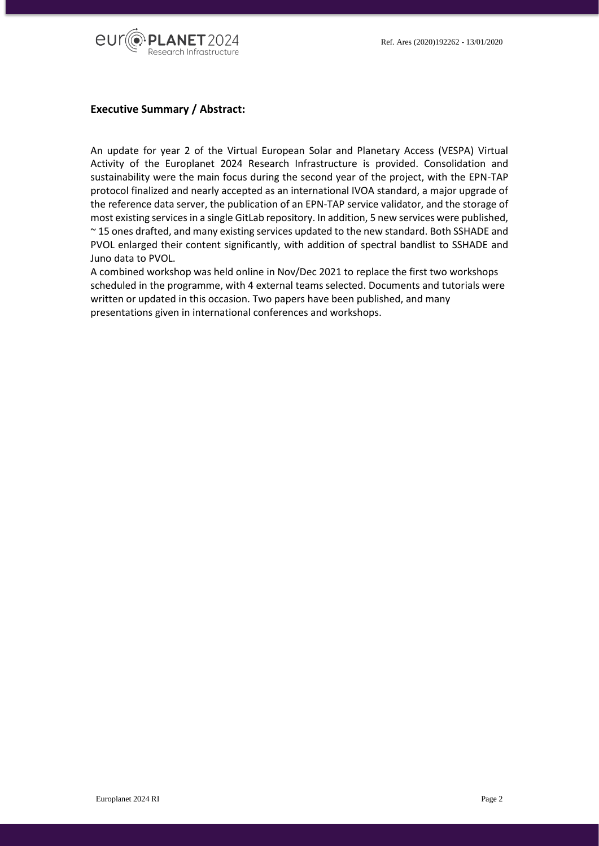

## **Executive Summary / Abstract:**

An update for year 2 of the Virtual European Solar and Planetary Access (VESPA) Virtual Activity of the Europlanet 2024 Research Infrastructure is provided. Consolidation and sustainability were the main focus during the second year of the project, with the EPN-TAP protocol finalized and nearly accepted as an international IVOA standard, a major upgrade of the reference data server, the publication of an EPN-TAP service validator, and the storage of most existing services in a single GitLab repository. In addition, 5 new services were published, ~ 15 ones drafted, and many existing services updated to the new standard. Both SSHADE and PVOL enlarged their content significantly, with addition of spectral bandlist to SSHADE and Juno data to PVOL.

A combined workshop was held online in Nov/Dec 2021 to replace the first two workshops scheduled in the programme, with 4 external teams selected. Documents and tutorials were written or updated in this occasion. Two papers have been published, and many presentations given in international conferences and workshops.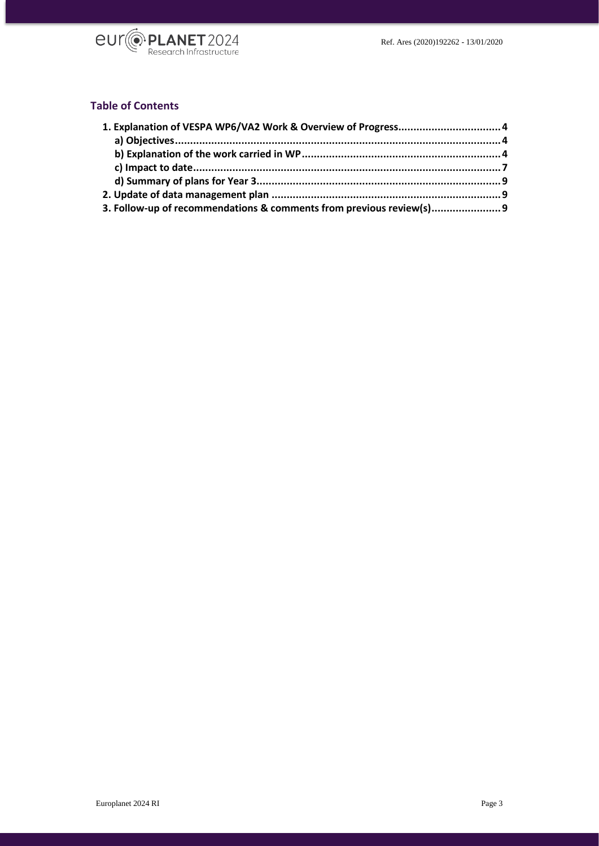

# **Table of Contents**

| 3. Follow-up of recommendations & comments from previous review(s) |  |
|--------------------------------------------------------------------|--|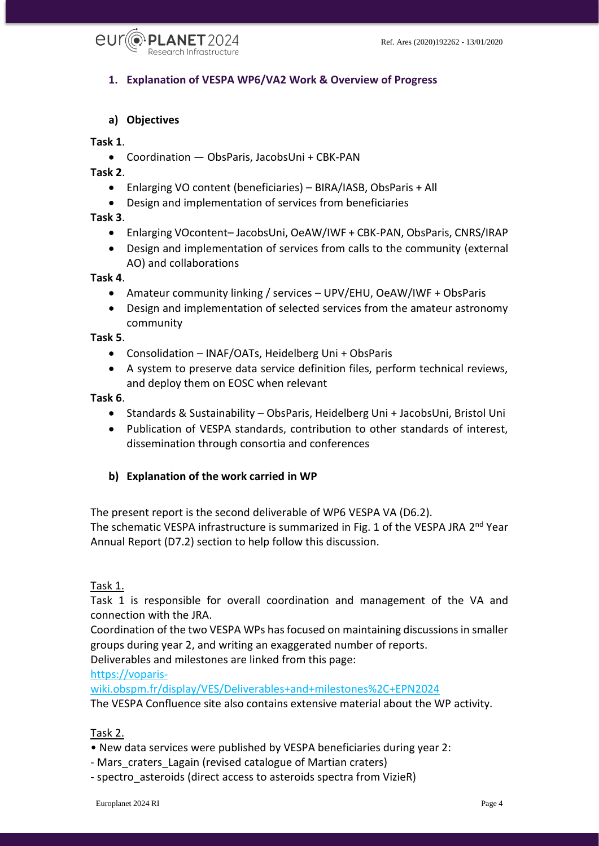

# <span id="page-3-0"></span>**1. Explanation of VESPA WP6/VA2 Work & Overview of Progress**

### <span id="page-3-1"></span>**a) Objectives**

#### **Task 1**.

Coordination — ObsParis, JacobsUni + CBK-PAN

**Task 2**.

- Enlarging VO content (beneficiaries) BIRA/IASB, ObsParis + All
- Design and implementation of services from beneficiaries

**Task 3**.

- Enlarging VOcontent– JacobsUni, OeAW/IWF + CBK-PAN, ObsParis, CNRS/IRAP
- Design and implementation of services from calls to the community (external AO) and collaborations

#### **Task 4**.

- Amateur community linking / services UPV/EHU, OeAW/IWF + ObsParis
- Design and implementation of selected services from the amateur astronomy community

#### **Task 5**.

- Consolidation INAF/OATs, Heidelberg Uni + ObsParis
- A system to preserve data service definition files, perform technical reviews, and deploy them on EOSC when relevant

#### **Task 6**.

- Standards & Sustainability ObsParis, Heidelberg Uni + JacobsUni, Bristol Uni
- Publication of VESPA standards, contribution to other standards of interest, dissemination through consortia and conferences

#### <span id="page-3-2"></span>**b) Explanation of the work carried in WP**

The present report is the second deliverable of WP6 VESPA VA (D6.2). The schematic VESPA infrastructure is summarized in Fig. 1 of the VESPA JRA 2<sup>nd</sup> Year Annual Report (D7.2) section to help follow this discussion.

#### Task 1.

Task 1 is responsible for overall coordination and management of the VA and connection with the JRA.

Coordination of the two VESPA WPs has focused on maintaining discussions in smaller groups during year 2, and writing an exaggerated number of reports.

Deliverables and milestones are linked from this page:

[https://voparis-](https://voparis-wiki.obspm.fr/display/VES/Deliverables+and+milestones%2C+EPN2024)

[wiki.obspm.fr/display/VES/Deliverables+and+milestones%2C+EPN2024](https://voparis-wiki.obspm.fr/display/VES/Deliverables+and+milestones%2C+EPN2024) The VESPA Confluence site also contains extensive material about the WP activity.

### Task 2.

- New data services were published by VESPA beneficiaries during year 2:
- Mars craters Lagain (revised catalogue of Martian craters)
- spectro asteroids (direct access to asteroids spectra from VizieR)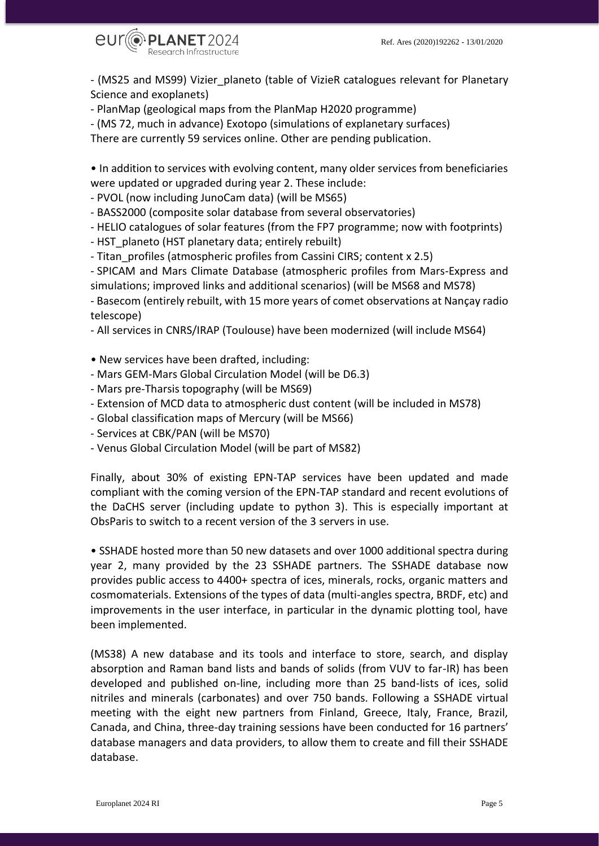

- (MS25 and MS99) Vizier\_planeto (table of VizieR catalogues relevant for Planetary Science and exoplanets)

- PlanMap (geological maps from the PlanMap H2020 programme)

- (MS 72, much in advance) Exotopo (simulations of explanetary surfaces)

There are currently 59 services online. Other are pending publication.

• In addition to services with evolving content, many older services from beneficiaries were updated or upgraded during year 2. These include:

- PVOL (now including JunoCam data) (will be MS65)

- BASS2000 (composite solar database from several observatories)

- HELIO catalogues of solar features (from the FP7 programme; now with footprints)

- HST planeto (HST planetary data; entirely rebuilt)

- Titan profiles (atmospheric profiles from Cassini CIRS; content x 2.5)

- SPICAM and Mars Climate Database (atmospheric profiles from Mars-Express and simulations; improved links and additional scenarios) (will be MS68 and MS78)

- Basecom (entirely rebuilt, with 15 more years of comet observations at Nançay radio telescope)

- All services in CNRS/IRAP (Toulouse) have been modernized (will include MS64)

• New services have been drafted, including:

- Mars GEM-Mars Global Circulation Model (will be D6.3)
- Mars pre-Tharsis topography (will be MS69)
- Extension of MCD data to atmospheric dust content (will be included in MS78)

- Global classification maps of Mercury (will be MS66)

- Services at CBK/PAN (will be MS70)
- Venus Global Circulation Model (will be part of MS82)

Finally, about 30% of existing EPN-TAP services have been updated and made compliant with the coming version of the EPN-TAP standard and recent evolutions of the DaCHS server (including update to python 3). This is especially important at ObsParis to switch to a recent version of the 3 servers in use.

• SSHADE hosted more than 50 new datasets and over 1000 additional spectra during year 2, many provided by the 23 SSHADE partners. The SSHADE database now provides public access to 4400+ spectra of ices, minerals, rocks, organic matters and cosmomaterials. Extensions of the types of data (multi-angles spectra, BRDF, etc) and improvements in the user interface, in particular in the dynamic plotting tool, have been implemented.

(MS38) A new database and its tools and interface to store, search, and display absorption and Raman band lists and bands of solids (from VUV to far-IR) has been developed and published on-line, including more than 25 band-lists of ices, solid nitriles and minerals (carbonates) and over 750 bands. Following a SSHADE virtual meeting with the eight new partners from Finland, Greece, Italy, France, Brazil, Canada, and China, three-day training sessions have been conducted for 16 partners' database managers and data providers, to allow them to create and fill their SSHADE database.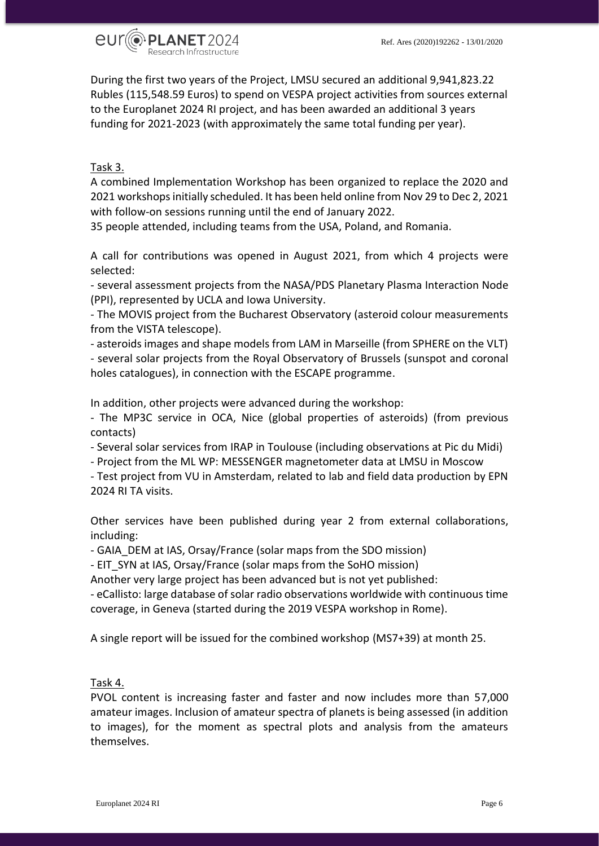

During the first two years of the Project, LMSU secured an additional 9,941,823.22 Rubles (115,548.59 Euros) to spend on VESPA project activities from sources external to the Europlanet 2024 RI project, and has been awarded an additional 3 years funding for 2021-2023 (with approximately the same total funding per year).

# Task 3.

A combined Implementation Workshop has been organized to replace the 2020 and 2021 workshops initially scheduled. It has been held online from Nov 29 to Dec 2, 2021 with follow-on sessions running until the end of January 2022.

35 people attended, including teams from the USA, Poland, and Romania.

A call for contributions was opened in August 2021, from which 4 projects were selected:

- several assessment projects from the NASA/PDS Planetary Plasma Interaction Node (PPI), represented by UCLA and Iowa University.

- The MOVIS project from the Bucharest Observatory (asteroid colour measurements from the VISTA telescope).

- asteroids images and shape models from LAM in Marseille (from SPHERE on the VLT) - several solar projects from the Royal Observatory of Brussels (sunspot and coronal holes catalogues), in connection with the ESCAPE programme.

In addition, other projects were advanced during the workshop:

- The MP3C service in OCA, Nice (global properties of asteroids) (from previous contacts)

- Several solar services from IRAP in Toulouse (including observations at Pic du Midi)

- Project from the ML WP: MESSENGER magnetometer data at LMSU in Moscow

- Test project from VU in Amsterdam, related to lab and field data production by EPN 2024 RI TA visits.

Other services have been published during year 2 from external collaborations, including:

- GAIA\_DEM at IAS, Orsay/France (solar maps from the SDO mission)

- EIT SYN at IAS, Orsay/France (solar maps from the SoHO mission)

Another very large project has been advanced but is not yet published:

- eCallisto: large database of solar radio observations worldwide with continuous time coverage, in Geneva (started during the 2019 VESPA workshop in Rome).

A single report will be issued for the combined workshop (MS7+39) at month 25.

## Task 4.

PVOL content is increasing faster and faster and now includes more than 57,000 amateur images. Inclusion of amateur spectra of planets is being assessed (in addition to images), for the moment as spectral plots and analysis from the amateurs themselves.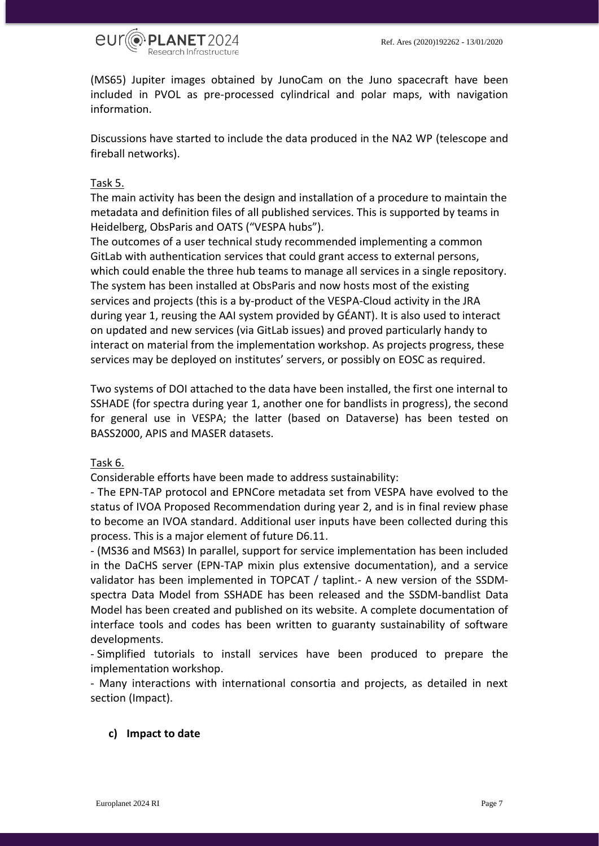

(MS65) Jupiter images obtained by JunoCam on the Juno spacecraft have been included in PVOL as pre-processed cylindrical and polar maps, with navigation information.

Discussions have started to include the data produced in the NA2 WP (telescope and fireball networks).

#### Task 5.

The main activity has been the design and installation of a procedure to maintain the metadata and definition files of all published services. This is supported by teams in Heidelberg, ObsParis and OATS ("VESPA hubs").

The outcomes of a user technical study recommended implementing a common GitLab with authentication services that could grant access to external persons, which could enable the three hub teams to manage all services in a single repository. The system has been installed at ObsParis and now hosts most of the existing services and projects (this is a by-product of the VESPA-Cloud activity in the JRA during year 1, reusing the AAI system provided by GÉANT). It is also used to interact on updated and new services (via GitLab issues) and proved particularly handy to interact on material from the implementation workshop. As projects progress, these services may be deployed on institutes' servers, or possibly on EOSC as required.

Two systems of DOI attached to the data have been installed, the first one internal to SSHADE (for spectra during year 1, another one for bandlists in progress), the second for general use in VESPA; the latter (based on Dataverse) has been tested on BASS2000, APIS and MASER datasets.

#### Task 6.

Considerable efforts have been made to address sustainability:

- The EPN-TAP protocol and EPNCore metadata set from VESPA have evolved to the status of IVOA Proposed Recommendation during year 2, and is in final review phase to become an IVOA standard. Additional user inputs have been collected during this process. This is a major element of future D6.11.

- (MS36 and MS63) In parallel, support for service implementation has been included in the DaCHS server (EPN-TAP mixin plus extensive documentation), and a service validator has been implemented in TOPCAT / taplint.- A new version of the SSDMspectra Data Model from SSHADE has been released and the SSDM-bandlist Data Model has been created and published on its website. A complete documentation of interface tools and codes has been written to guaranty sustainability of software developments.

- Simplified tutorials to install services have been produced to prepare the implementation workshop.

- Many interactions with international consortia and projects, as detailed in next section (Impact).

### <span id="page-6-0"></span>**c) Impact to date**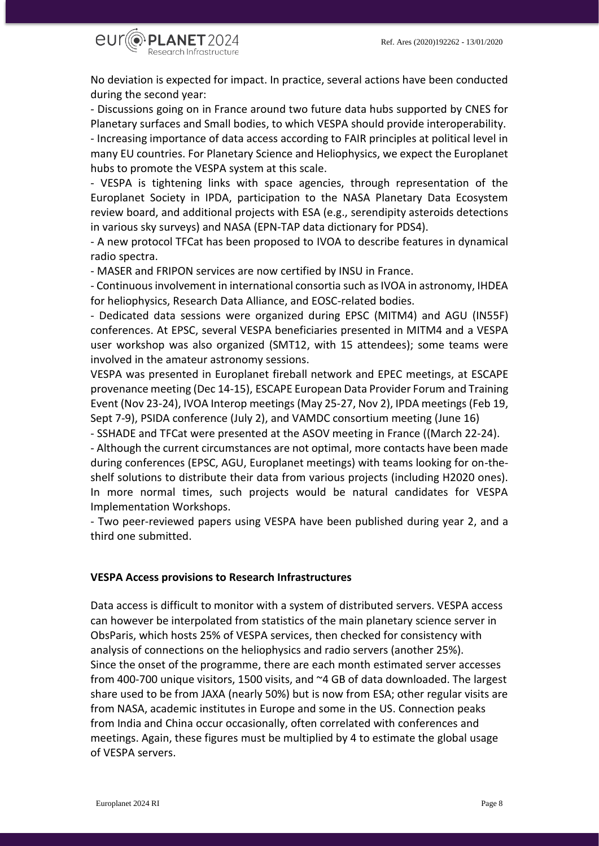

No deviation is expected for impact. In practice, several actions have been conducted during the second year:

- Discussions going on in France around two future data hubs supported by CNES for Planetary surfaces and Small bodies, to which VESPA should provide interoperability. - Increasing importance of data access according to FAIR principles at political level in many EU countries. For Planetary Science and Heliophysics, we expect the Europlanet hubs to promote the VESPA system at this scale.

- VESPA is tightening links with space agencies, through representation of the Europlanet Society in IPDA, participation to the NASA Planetary Data Ecosystem review board, and additional projects with ESA (e.g., serendipity asteroids detections in various sky surveys) and NASA (EPN-TAP data dictionary for PDS4).

- A new protocol TFCat has been proposed to IVOA to describe features in dynamical radio spectra.

- MASER and FRIPON services are now certified by INSU in France.

- Continuous involvement in international consortia such as IVOA in astronomy, IHDEA for heliophysics, Research Data Alliance, and EOSC-related bodies.

- Dedicated data sessions were organized during EPSC (MITM4) and AGU (IN55F) conferences. At EPSC, several VESPA beneficiaries presented in MITM4 and a VESPA user workshop was also organized (SMT12, with 15 attendees); some teams were involved in the amateur astronomy sessions.

VESPA was presented in Europlanet fireball network and EPEC meetings, at ESCAPE provenance meeting (Dec 14-15), ESCAPE European Data Provider Forum and Training Event (Nov 23-24), IVOA Interop meetings (May 25-27, Nov 2), IPDA meetings (Feb 19, Sept 7-9), PSIDA conference (July 2), and VAMDC consortium meeting (June 16)

- SSHADE and TFCat were presented at the ASOV meeting in France ((March 22-24).

- Although the current circumstances are not optimal, more contacts have been made during conferences (EPSC, AGU, Europlanet meetings) with teams looking for on-theshelf solutions to distribute their data from various projects (including H2020 ones). In more normal times, such projects would be natural candidates for VESPA Implementation Workshops.

- Two peer-reviewed papers using VESPA have been published during year 2, and a third one submitted.

#### **VESPA Access provisions to Research Infrastructures**

Data access is difficult to monitor with a system of distributed servers. VESPA access can however be interpolated from statistics of the main planetary science server in ObsParis, which hosts 25% of VESPA services, then checked for consistency with analysis of connections on the heliophysics and radio servers (another 25%). Since the onset of the programme, there are each month estimated server accesses from 400-700 unique visitors, 1500 visits, and ~4 GB of data downloaded. The largest share used to be from JAXA (nearly 50%) but is now from ESA; other regular visits are from NASA, academic institutes in Europe and some in the US. Connection peaks from India and China occur occasionally, often correlated with conferences and meetings. Again, these figures must be multiplied by 4 to estimate the global usage of VESPA servers.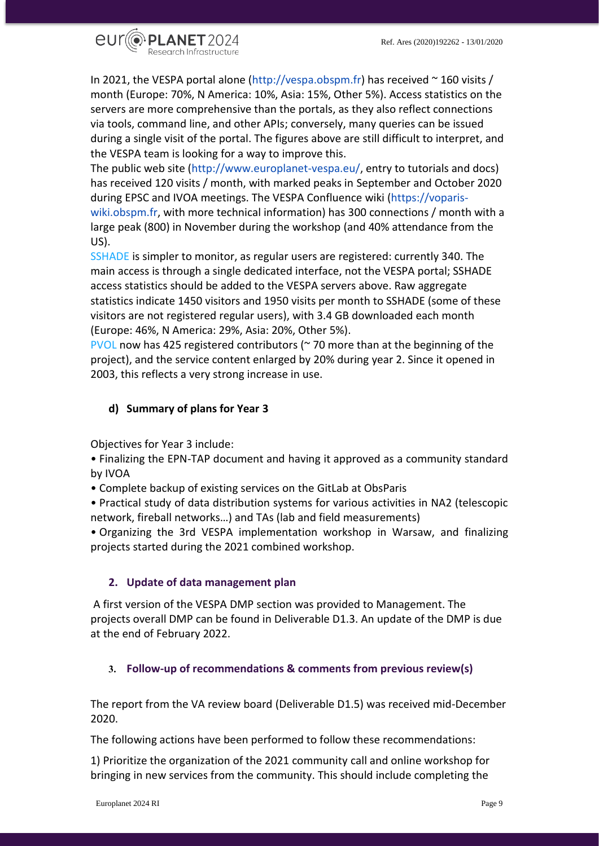

In 2021, the VESPA portal alone (http://vespa.obspm.fr) has received ~ 160 visits / month (Europe: 70%, N America: 10%, Asia: 15%, Other 5%). Access statistics on the servers are more comprehensive than the portals, as they also reflect connections via tools, command line, and other APIs; conversely, many queries can be issued during a single visit of the portal. The figures above are still difficult to interpret, and the VESPA team is looking for a way to improve this.

The public web site (http://www.europlanet-vespa.eu/, entry to tutorials and docs) has received 120 visits / month, with marked peaks in September and October 2020 during EPSC and IVOA meetings. The VESPA Confluence wiki (https://vopariswiki.obspm.fr, with more technical information) has 300 connections / month with a large peak (800) in November during the workshop (and 40% attendance from the US).

SSHADE is simpler to monitor, as regular users are registered: currently 340. The main access is through a single dedicated interface, not the VESPA portal; SSHADE access statistics should be added to the VESPA servers above. Raw aggregate statistics indicate 1450 visitors and 1950 visits per month to SSHADE (some of these visitors are not registered regular users), with 3.4 GB downloaded each month (Europe: 46%, N America: 29%, Asia: 20%, Other 5%).

PVOL now has 425 registered contributors (~ 70 more than at the beginning of the project), and the service content enlarged by 20% during year 2. Since it opened in 2003, this reflects a very strong increase in use.

# <span id="page-8-0"></span>**d) Summary of plans for Year 3**

Objectives for Year 3 include:

• Finalizing the EPN-TAP document and having it approved as a community standard by IVOA

• Complete backup of existing services on the GitLab at ObsParis

• Practical study of data distribution systems for various activities in NA2 (telescopic network, fireball networks…) and TAs (lab and field measurements)

• Organizing the 3rd VESPA implementation workshop in Warsaw, and finalizing projects started during the 2021 combined workshop.

# <span id="page-8-1"></span>**2. Update of data management plan**

A first version of the VESPA DMP section was provided to Management. The projects overall DMP can be found in Deliverable D1.3. An update of the DMP is due at the end of February 2022.

# <span id="page-8-2"></span>**3. Follow-up of recommendations & comments from previous review(s)**

The report from the VA review board (Deliverable D1.5) was received mid-December 2020.

The following actions have been performed to follow these recommendations:

1) Prioritize the organization of the 2021 community call and online workshop for bringing in new services from the community. This should include completing the